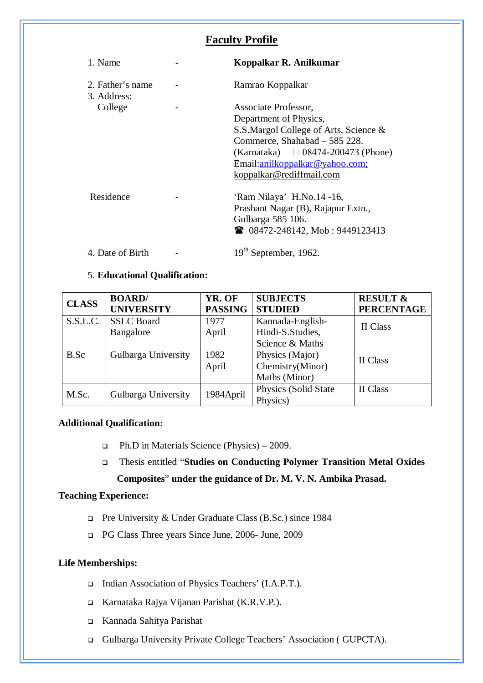# **Faculty Profile**

| 1. Name                         | Koppalkar R. Anilkumar                  |
|---------------------------------|-----------------------------------------|
| 2. Father's name<br>3. Address: | Ramrao Koppalkar                        |
| College                         | Associate Professor,                    |
|                                 | Department of Physics,                  |
|                                 | S.S.Margol College of Arts, Science &   |
|                                 | Commerce, Shahabad – 585 228.           |
|                                 | (Karnataka) $\Box$ 08474-200473 (Phone) |
|                                 | Email:anilkoppalkar@yahoo.com;          |
|                                 | koppalkar@rediffmail.com                |
|                                 |                                         |
| Residence                       | 'Ram Nilaya' H.No.14 -16,               |
|                                 | Prashant Nagar (B), Rajapur Extn.,      |
|                                 | Gulbarga 585 106.                       |
|                                 | <b>■ 08472-248142, Mob: 9449123413</b>  |
| 4. Date of Birth                | 19 <sup>th</sup> September, 1962.       |

# 5. **Educational Qualification:**

| <b>CLASS</b> | <b>BOARD</b> /      | YR. OF         | <b>SUBJECTS</b>      | <b>RESULT &amp;</b> |  |
|--------------|---------------------|----------------|----------------------|---------------------|--|
|              | <b>UNIVERSITY</b>   | <b>PASSING</b> | <b>STUDIED</b>       | <b>PERCENTAGE</b>   |  |
| S.S.L.C.     | <b>SSLC</b> Board   | 1977           | Kannada-English-     | II Class            |  |
|              | Bangalore           | April          | Hindi-S.Studies,     |                     |  |
|              |                     |                | Science & Maths      |                     |  |
| B.Sc         | Gulbarga University | 1982           | Physics (Major)      | II Class            |  |
|              |                     | April          | Chemistry(Minor)     |                     |  |
|              |                     |                | Maths (Minor)        |                     |  |
| M.Sc.        | Gulbarga University | 1984April      | Physics (Solid State | II Class            |  |
|              |                     |                | Physics)             |                     |  |

# **Additional Qualification:**

- Ph.D in Materials Science (Physics) 2009.
- Thesis entitled "**Studies on Conducting Polymer Transition Metal Oxides Composites**" **under the guidance of Dr. M. V. N. Ambika Prasad.**

# **Teaching Experience:**

- □ Pre University & Under Graduate Class (B.Sc.) since 1984
- PG Class Three years Since June, 2006- June, 2009

# **Life Memberships:**

- □ Indian Association of Physics Teachers' (I.A.P.T.).
- Karnataka Rajya Vijanan Parishat (K.R.V.P.).
- Kannada Sahitya Parishat
- Gulbarga University Private College Teachers' Association ( GUPCTA).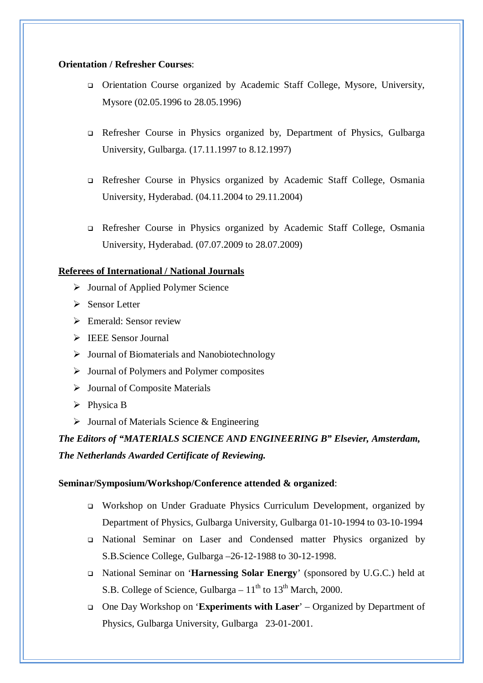#### **Orientation / Refresher Courses**:

- Orientation Course organized by Academic Staff College, Mysore, University, Mysore (02.05.1996 to 28.05.1996)
- Refresher Course in Physics organized by, Department of Physics, Gulbarga University, Gulbarga. (17.11.1997 to 8.12.1997)
- Refresher Course in Physics organized by Academic Staff College, Osmania University, Hyderabad. (04.11.2004 to 29.11.2004)
- Refresher Course in Physics organized by Academic Staff College, Osmania University, Hyderabad. (07.07.2009 to 28.07.2009)

#### **Referees of International / National Journals**

- $\triangleright$  Journal of Applied Polymer Science
- $\triangleright$  Sensor Letter
- $\triangleright$  Emerald: Sensor review
- $\triangleright$  IEEE Sensor Journal
- $\triangleright$  Journal of Biomaterials and Nanobiotechnology
- $\triangleright$  Journal of Polymers and Polymer composites
- > Journal of Composite Materials
- $\triangleright$  Physica B
- $\triangleright$  Journal of Materials Science & Engineering

*The Editors of "MATERIALS SCIENCE AND ENGINEERING B" Elsevier, Amsterdam, The Netherlands Awarded Certificate of Reviewing.*

### **Seminar/Symposium/Workshop/Conference attended & organized**:

- Workshop on Under Graduate Physics Curriculum Development, organized by Department of Physics, Gulbarga University, Gulbarga 01-10-1994 to 03-10-1994
- National Seminar on Laser and Condensed matter Physics organized by S.B.Science College, Gulbarga –26-12-1988 to 30-12-1998.
- National Seminar on '**Harnessing Solar Energy**' (sponsored by U.G.C.) held at S.B. College of Science, Gulbarga –  $11<sup>th</sup>$  to  $13<sup>th</sup>$  March, 2000.
- One Day Workshop on '**Experiments with Laser**' Organized by Department of Physics, Gulbarga University, Gulbarga 23-01-2001.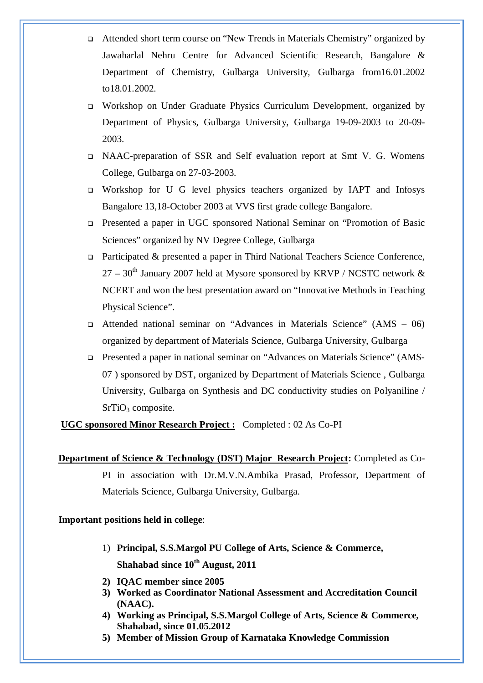- Attended short term course on "New Trends in Materials Chemistry" organized by Jawaharlal Nehru Centre for Advanced Scientific Research, Bangalore & Department of Chemistry, Gulbarga University, Gulbarga from16.01.2002 to18.01.2002.
- Workshop on Under Graduate Physics Curriculum Development, organized by Department of Physics, Gulbarga University, Gulbarga 19-09-2003 to 20-09- 2003.
- NAAC-preparation of SSR and Self evaluation report at Smt V. G. Womens College, Gulbarga on 27-03-2003.
- Workshop for U G level physics teachers organized by IAPT and Infosys Bangalore 13,18-October 2003 at VVS first grade college Bangalore.
- Presented a paper in UGC sponsored National Seminar on "Promotion of Basic Sciences" organized by NV Degree College, Gulbarga
- Participated & presented a paper in Third National Teachers Science Conference,  $27 - 30$ <sup>th</sup> January 2007 held at Mysore sponsored by KRVP / NCSTC network  $\&$ NCERT and won the best presentation award on "Innovative Methods in Teaching Physical Science".
- Attended national seminar on "Advances in Materials Science" (AMS 06) organized by department of Materials Science, Gulbarga University, Gulbarga
- Presented a paper in national seminar on "Advances on Materials Science" (AMS-07 ) sponsored by DST, organized by Department of Materials Science , Gulbarga University, Gulbarga on Synthesis and DC conductivity studies on Polyaniline / SrTiO<sub>3</sub> composite.

**UGC sponsored Minor Research Project :** Completed : 02 As Co-PI

# **Important positions held in college**:

- 1) **Principal, S.S.Margol PU College of Arts, Science & Commerce, Shahabad since 10th August, 2011**
- **2) IQAC member since 2005**
- **3) Worked as Coordinator National Assessment and Accreditation Council (NAAC).**
- **4) Working as Principal, S.S.Margol College of Arts, Science & Commerce, Shahabad, since 01.05.2012**
- **5) Member of Mission Group of Karnataka Knowledge Commission**

**Department of Science & Technology (DST) Major Research Project:** Completed as Co-PI in association with Dr.M.V.N.Ambika Prasad, Professor, Department of Materials Science, Gulbarga University, Gulbarga.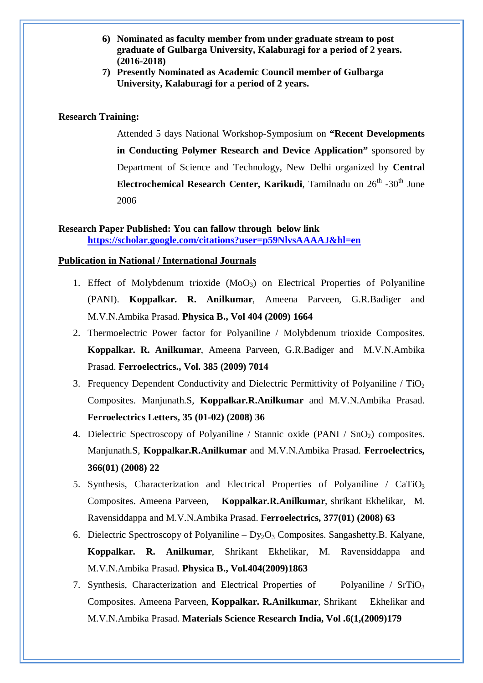- **6) Nominated as faculty member from under graduate stream to post graduate of Gulbarga University, Kalaburagi for a period of 2 years. (2016-2018)**
- **7) Presently Nominated as Academic Council member of Gulbarga University, Kalaburagi for a period of 2 years.**

#### **Research Training:**

Attended 5 days National Workshop-Symposium on **"Recent Developments in Conducting Polymer Research and Device Application"** sponsored by Department of Science and Technology, New Delhi organized by **Central**  Electrochemical Research Center, Karikudi, Tamilnadu on 26<sup>th</sup> -30<sup>th</sup> June 2006

# **Research Paper Published: You can fallow through below link https://scholar.google.com/citations?user=p59NlvsAAAAJ&hl=en**

#### **Publication in National / International Journals**

- 1. Effect of Molybdenum trioxide  $(MoO<sub>3</sub>)$  on Electrical Properties of Polyaniline (PANI). **Koppalkar. R. Anilkumar**, Ameena Parveen, G.R.Badiger and M.V.N.Ambika Prasad. **Physica B., Vol 404 (2009) 1664**
- 2. Thermoelectric Power factor for Polyaniline / Molybdenum trioxide Composites. **Koppalkar. R. Anilkumar**, Ameena Parveen, G.R.Badiger and M.V.N.Ambika Prasad. **Ferroelectrics., Vol. 385 (2009) 7014**
- 3. Frequency Dependent Conductivity and Dielectric Permittivity of Polyaniline /  $TiO<sub>2</sub>$ Composites. Manjunath.S, **Koppalkar.R.Anilkumar** and M.V.N.Ambika Prasad. **Ferroelectrics Letters, 35 (01-02) (2008) 36**
- 4. Dielectric Spectroscopy of Polyaniline / Stannic oxide (PANI /  $SnO<sub>2</sub>$ ) composites. Manjunath.S, **Koppalkar.R.Anilkumar** and M.V.N.Ambika Prasad. **Ferroelectrics, 366(01) (2008) 22**
- 5. Synthesis, Characterization and Electrical Properties of Polyaniline /  $CaTiO<sub>3</sub>$ Composites. Ameena Parveen, **Koppalkar.R.Anilkumar**, shrikant Ekhelikar, M. Ravensiddappa and M.V.N.Ambika Prasad. **Ferroelectrics, 377(01) (2008) 63**
- 6. Dielectric Spectroscopy of Polyaniline  $Dy_2O_3$  Composites. Sangashetty.B. Kalyane, **Koppalkar. R. Anilkumar**, Shrikant Ekhelikar, M. Ravensiddappa and M.V.N.Ambika Prasad. **Physica B., Vol.404(2009)1863**
- 7. Synthesis, Characterization and Electrical Properties of Polyaniline / SrTiO<sub>3</sub> Composites. Ameena Parveen, **Koppalkar. R.Anilkumar**, Shrikant Ekhelikar and M.V.N.Ambika Prasad. **Materials Science Research India, Vol .6(1,(2009)179**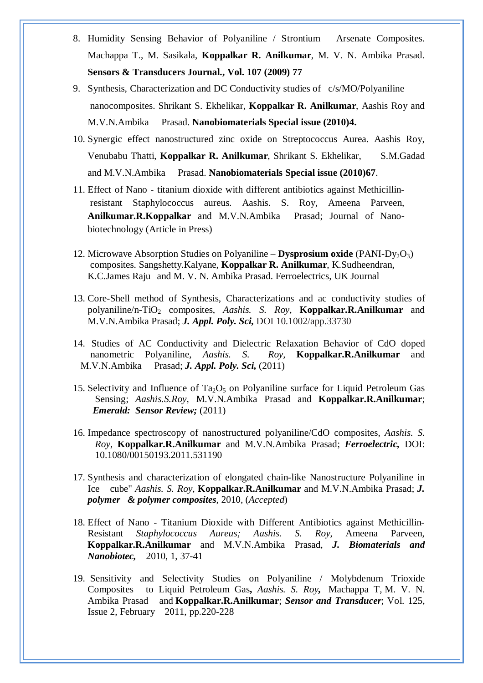- 8. Humidity Sensing Behavior of Polyaniline / Strontium Arsenate Composites. Machappa T., M. Sasikala, **Koppalkar R. Anilkumar**, M. V. N. Ambika Prasad. **Sensors & Transducers Journal., Vol. 107 (2009) 77**
- 9. Synthesis, Characterization and DC Conductivity studies of c/s/MO/Polyaniline nanocomposites. Shrikant S. Ekhelikar, **Koppalkar R. Anilkumar**, Aashis Roy and M.V.N.Ambika Prasad. **Nanobiomaterials Special issue (2010)4.**
- 10. Synergic effect nanostructured zinc oxide on Streptococcus Aurea. Aashis Roy, Venubabu Thatti, **Koppalkar R. Anilkumar**, Shrikant S. Ekhelikar, S.M.Gadad and M.V.N.Ambika Prasad. **Nanobiomaterials Special issue (2010)67**.
- 11. Effect of Nano titanium dioxide with different antibiotics against Methicillinresistant Staphylococcus aureus. Aashis. S. Roy, Ameena Parveen, **Anilkumar.R.Koppalkar** and M.V.N.Ambika Prasad; Journal of Nanobiotechnology (Article in Press)
- 12. Microwave Absorption Studies on Polyaniline **Dysprosium oxide** (PANI-Dy<sub>2</sub>O<sub>3</sub>) composites. Sangshetty.Kalyane, **Koppalkar R. Anilkumar**, K.Sudheendran, K.C.James Raju and M. V. N. Ambika Prasad. Ferroelectrics, UK Journal
- 13. Core-Shell method of Synthesis, Characterizations and ac conductivity studies of polyaniline/n-TiO<sup>2</sup> composites, *Aashis. S. Roy*, **Koppalkar.R.Anilkumar** and M.V.N.Ambika Prasad; *J. Appl. Poly. Sci,* DOI 10.1002/app.33730
- 14. Studies of AC Conductivity and Dielectric Relaxation Behavior of CdO doped nanometric Polyaniline, *Aashis. S. Roy,* **Koppalkar.R.Anilkumar** and M.V.N.Ambika Prasad; *J. Appl. Poly. Sci,* (2011)
- 15. Selectivity and Influence of  $Ta_2O_5$  on Polyaniline surface for Liquid Petroleum Gas Sensing; *Aashis.S.Roy,* M.V.N.Ambika Prasad and **Koppalkar.R.Anilkumar**; *Emerald: Sensor Review;* (2011)
- 16. Impedance spectroscopy of nanostructured polyaniline/CdO composites, *Aashis. S. Roy,* **Koppalkar.R.Anilkumar** and M.V.N.Ambika Prasad; *Ferroelectric,* DOI: 10.1080/00150193.2011.531190
- 17. Synthesis and characterization of elongated chain-like Nanostructure Polyaniline in Ice cube" *Aashis. S. Roy*, **Koppalkar.R.Anilkumar** and M.V.N.Ambika Prasad; *J. polymer & polymer composites*, 2010, (*Accepted*)
- 18. Effect of Nano Titanium Dioxide with Different Antibiotics against Methicillin-Resistant *Staphylococcus Aureus; Aashis. S. Roy*, Ameena Parveen, **Koppalkar.R.Anilkumar** and M.V.N.Ambika Prasad, *J. Biomaterials and Nanobiotec,* 2010, 1, 37-41
- 19. Sensitivity and Selectivity Studies on Polyaniline / Molybdenum Trioxide Composites to Liquid Petroleum Gas**,** *Aashis. S. Roy,* Machappa T, M. V. N. Ambika Prasad and **Koppalkar.R.Anilkumar**; *Sensor and Transducer*; Vol. 125, Issue 2, February 2011, pp.220-228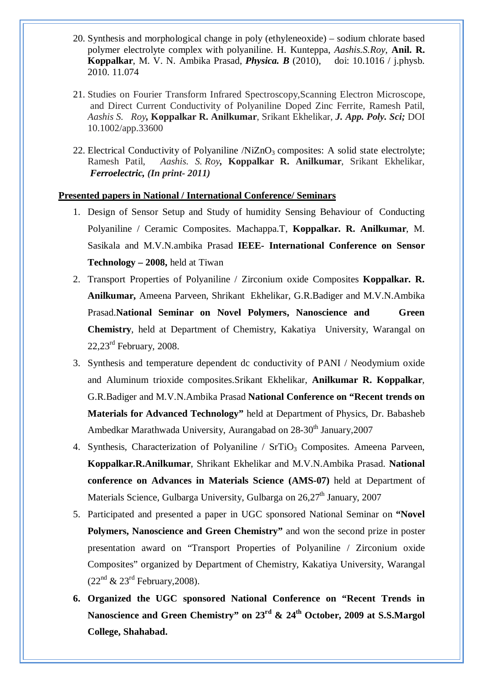- 20. Synthesis and morphological change in poly (ethyleneoxide) sodium chlorate based polymer electrolyte complex with polyaniline. H. Kunteppa, *Aashis.S.Roy*, **Anil. R. Koppalkar**, M. V. N. Ambika Prasad, *Physica. B* (2010), doi: 10.1016 / j.physb. 2010. 11.074
- 21. Studies on Fourier Transform Infrared Spectroscopy,Scanning Electron Microscope, and Direct Current Conductivity of Polyaniline Doped Zinc Ferrite, Ramesh Patil, *Aashis S. Roy,* **Koppalkar R. Anilkumar**, Srikant Ekhelikar, *J. App. Poly. Sci;* DOI 10.1002/app.33600
- 22. Electrical Conductivity of Polyaniline  $/NiZnO<sub>3</sub>$  composites: A solid state electrolyte; Ramesh Patil, *Aashis. S. Roy,* **Koppalkar R. Anilkumar**, Srikant Ekhelikar, *Ferroelectric, (In print- 2011)*

#### **Presented papers in National / International Conference/ Seminars**

- 1. Design of Sensor Setup and Study of humidity Sensing Behaviour of Conducting Polyaniline / Ceramic Composites. Machappa.T, **Koppalkar. R. Anilkumar**, M. Sasikala and M.V.N.ambika Prasad **IEEE- International Conference on Sensor Technology – 2008,** held at Tiwan
- 2. Transport Properties of Polyaniline / Zirconium oxide Composites **Koppalkar. R. Anilkumar,** Ameena Parveen, Shrikant Ekhelikar, G.R.Badiger and M.V.N.Ambika Prasad.**National Seminar on Novel Polymers, Nanoscience and Green Chemistry**, held at Department of Chemistry, Kakatiya University, Warangal on  $22,23^{\text{rd}}$  February, 2008.
- 3. Synthesis and temperature dependent dc conductivity of PANI / Neodymium oxide and Aluminum trioxide composites.Srikant Ekhelikar, **Anilkumar R. Koppalkar**, G.R.Badiger and M.V.N.Ambika Prasad **National Conference on "Recent trends on Materials for Advanced Technology"** held at Department of Physics, Dr. Babasheb Ambedkar Marathwada University, Aurangabad on 28-30<sup>th</sup> January, 2007
- 4. Synthesis, Characterization of Polyaniline / SrTiO<sub>3</sub> Composites. Ameena Parveen, **Koppalkar.R.Anilkumar**, Shrikant Ekhelikar and M.V.N.Ambika Prasad. **National conference on Advances in Materials Science (AMS-07)** held at Department of Materials Science, Gulbarga University, Gulbarga on  $26.27<sup>th</sup>$  January, 2007
- 5. Participated and presented a paper in UGC sponsored National Seminar on **"Novel Polymers, Nanoscience and Green Chemistry"** and won the second prize in poster presentation award on "Transport Properties of Polyaniline / Zirconium oxide Composites" organized by Department of Chemistry, Kakatiya University, Warangal  $(22<sup>nd</sup> \& 23<sup>rd</sup> \tFebruary, 2008).$
- **6. Organized the UGC sponsored National Conference on "Recent Trends in Nanoscience and Green Chemistry" on 23rd & 24th October, 2009 at S.S.Margol College, Shahabad.**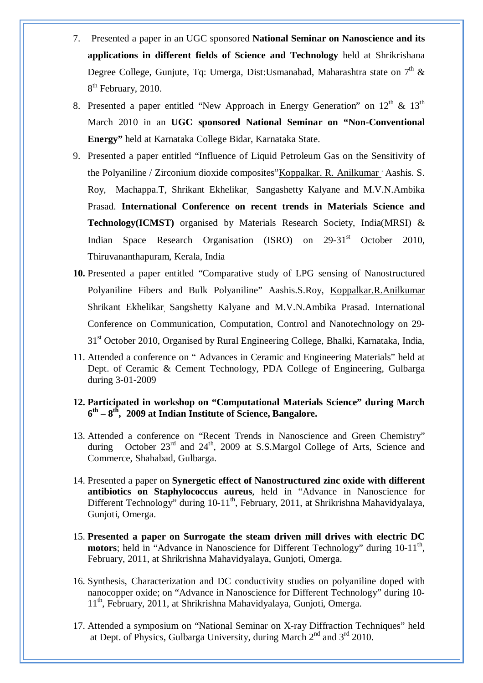- 7. Presented a paper in an UGC sponsored **National Seminar on Nanoscience and its applications in different fields of Science and Technology** held at Shrikrishana Degree College, Gunjute, Tq: Umerga, Dist:Usmanabad, Maharashtra state on  $7<sup>th</sup>$  & 8<sup>th</sup> February, 2010.
- 8. Presented a paper entitled "New Approach in Energy Generation" on  $12<sup>th</sup>$  &  $13<sup>th</sup>$ March 2010 in an **UGC sponsored National Seminar on "Non-Conventional Energy"** held at Karnataka College Bidar, Karnataka State.
- 9. Presented a paper entitled "Influence of Liquid Petroleum Gas on the Sensitivity of the Polyaniline / Zirconium dioxide composites" Koppalkar. R. Anilkumar 'Aashis. S. Roy, Machappa.T, Shrikant Ekhelikar, Sangashetty Kalyane and M.V.N.Ambika Prasad. **International Conference on recent trends in Materials Science and Technology(ICMST)** organised by Materials Research Society, India(MRSI) & Indian Space Research Organisation (ISRO) on 29-31<sup>st</sup> October 2010, Thiruvananthapuram, Kerala, India
- **10.** Presented a paper entitled "Comparative study of LPG sensing of Nanostructured Polyaniline Fibers and Bulk Polyaniline" Aashis.S.Roy, Koppalkar.R.Anilkumar Shrikant Ekhelikar, Sangshetty Kalyane and M.V.N.Ambika Prasad. International Conference on Communication, Computation, Control and Nanotechnology on 29- 31<sup>st</sup> October 2010, Organised by Rural Engineering College, Bhalki, Karnataka, India,
- 11. Attended a conference on " Advances in Ceramic and Engineering Materials" held at Dept. of Ceramic & Cement Technology, PDA College of Engineering, Gulbarga during 3-01-2009

### **12. Participated in workshop on "Computational Materials Science" during March 6 th – 8 th , 2009 at Indian Institute of Science, Bangalore.**

- 13. Attended a conference on "Recent Trends in Nanoscience and Green Chemistry" during October 23<sup>rd</sup> and 24<sup>th</sup>, 2009 at S.S.Margol College of Arts, Science and Commerce, Shahabad, Gulbarga.
- 14. Presented a paper on **Synergetic effect of Nanostructured zinc oxide with different antibiotics on Staphylococcus aureus**, held in "Advance in Nanoscience for Different Technology" during  $10-11<sup>th</sup>$ , February, 2011, at Shrikrishna Mahavidyalaya, Gunjoti, Omerga.
- 15. **Presented a paper on Surrogate the steam driven mill drives with electric DC**  motors; held in "Advance in Nanoscience for Different Technology" during 10-11<sup>th</sup>, February, 2011, at Shrikrishna Mahavidyalaya, Gunjoti, Omerga.
- 16. Synthesis, Characterization and DC conductivity studies on polyaniline doped with nanocopper oxide; on "Advance in Nanoscience for Different Technology" during 10- 11<sup>th</sup>, February, 2011, at Shrikrishna Mahavidyalaya, Gunjoti, Omerga.
- 17. Attended a symposium on "National Seminar on X-ray Diffraction Techniques" held at Dept. of Physics, Gulbarga University, during March  $2<sup>nd</sup>$  and  $3<sup>rd</sup>$  2010.